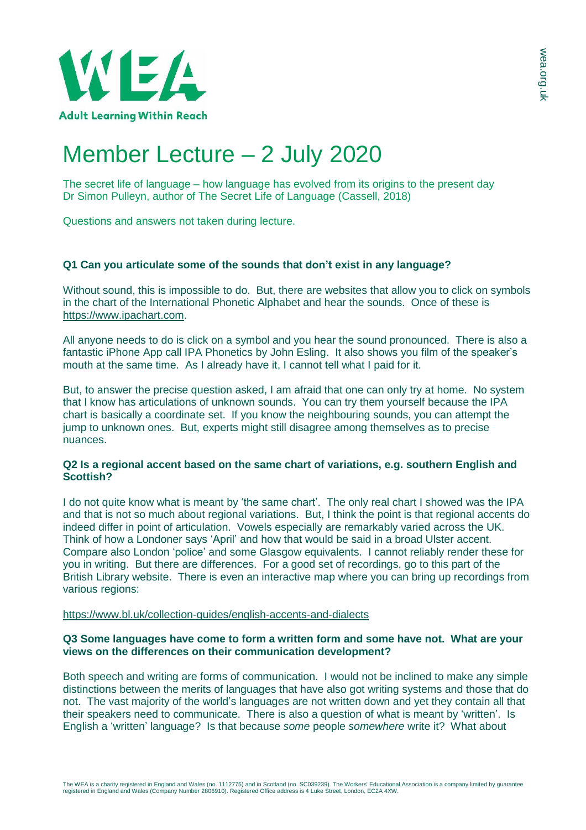

# Member Lecture – 2 July 2020

The secret life of language – how language has evolved from its origins to the present day Dr Simon Pulleyn, author of The Secret Life of Language (Cassell, 2018)

Questions and answers not taken during lecture.

## **Q1 Can you articulate some of the sounds that don't exist in any language?**

Without sound, this is impossible to do. But, there are websites that allow you to click on symbols in the chart of the International Phonetic Alphabet and hear the sounds. Once of these is [https://www.ipachart.com.](https://www.ipachart.com/)

All anyone needs to do is click on a symbol and you hear the sound pronounced. There is also a fantastic iPhone App call IPA Phonetics by John Esling. It also shows you film of the speaker's mouth at the same time. As I already have it, I cannot tell what I paid for it.

But, to answer the precise question asked, I am afraid that one can only try at home. No system that I know has articulations of unknown sounds. You can try them yourself because the IPA chart is basically a coordinate set. If you know the neighbouring sounds, you can attempt the jump to unknown ones. But, experts might still disagree among themselves as to precise nuances.

#### **Q2 Is a regional accent based on the same chart of variations, e.g. southern English and Scottish?**

I do not quite know what is meant by 'the same chart'. The only real chart I showed was the IPA and that is not so much about regional variations. But, I think the point is that regional accents do indeed differ in point of articulation. Vowels especially are remarkably varied across the UK. Think of how a Londoner says 'April' and how that would be said in a broad Ulster accent. Compare also London 'police' and some Glasgow equivalents. I cannot reliably render these for you in writing. But there are differences. For a good set of recordings, go to this part of the British Library website. There is even an interactive map where you can bring up recordings from various regions:

<https://www.bl.uk/collection-guides/english-accents-and-dialects>

#### **Q3 Some languages have come to form a written form and some have not. What are your views on the differences on their communication development?**

Both speech and writing are forms of communication. I would not be inclined to make any simple distinctions between the merits of languages that have also got writing systems and those that do not. The vast majority of the world's languages are not written down and yet they contain all that their speakers need to communicate. There is also a question of what is meant by 'written'. Is English a 'written' language? Is that because *some* people *somewhere* write it? What about